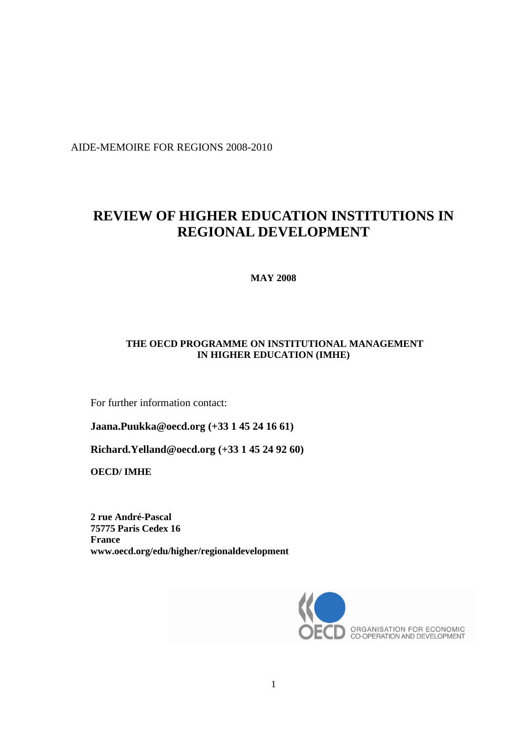AIDE-MEMOIRE FOR REGIONS 2008-2010

# **REVIEW OF HIGHER EDUCATION INSTITUTIONS IN REGIONAL DEVELOPMENT**

**MAY 2008**

## **THE OECD PROGRAMME ON INSTITUTIONAL MANAGEMENT IN HIGHER EDUCATION (IMHE)**

For further information contact:

**[Jaana.Puukka@oecd.org](mailto:Jaana.Puukka@oecd.org) (+33 1 45 24 16 61)**

**[Richard.Yelland@oecd.org](mailto:Richard.Yelland@oecd.org) (+33 1 45 24 92 60)**

**OECD/ IMHE**

**2 rue André-Pascal 75775 Paris Cedex 16 France www.oecd.org/edu/higher/regionaldevelopment**

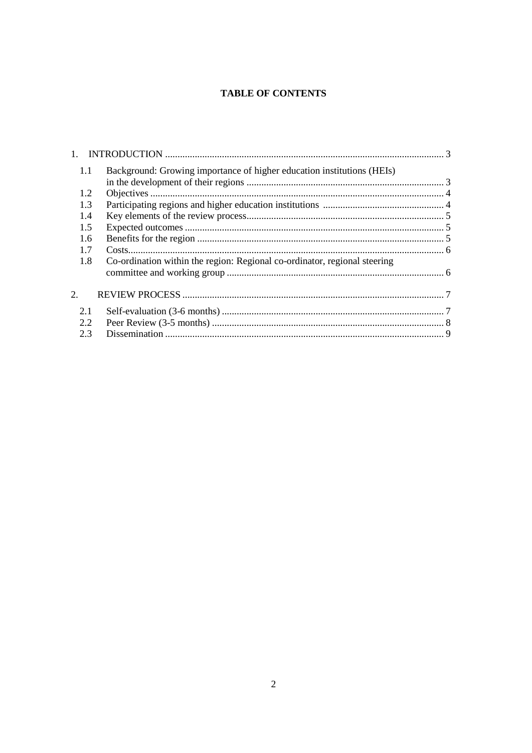## **TABLE OF CONTENTS**

| 1.1 | Background: Growing importance of higher education institutions (HEIs)    |  |
|-----|---------------------------------------------------------------------------|--|
| 1.2 |                                                                           |  |
| 1.3 |                                                                           |  |
| 1.4 |                                                                           |  |
| 1.5 |                                                                           |  |
| 1.6 |                                                                           |  |
| 1.7 |                                                                           |  |
| 1.8 | Co-ordination within the region: Regional co-ordinator, regional steering |  |
|     |                                                                           |  |
|     |                                                                           |  |
| 2.  |                                                                           |  |
| 2.1 |                                                                           |  |
| 2.2 |                                                                           |  |
| 2.3 |                                                                           |  |
|     |                                                                           |  |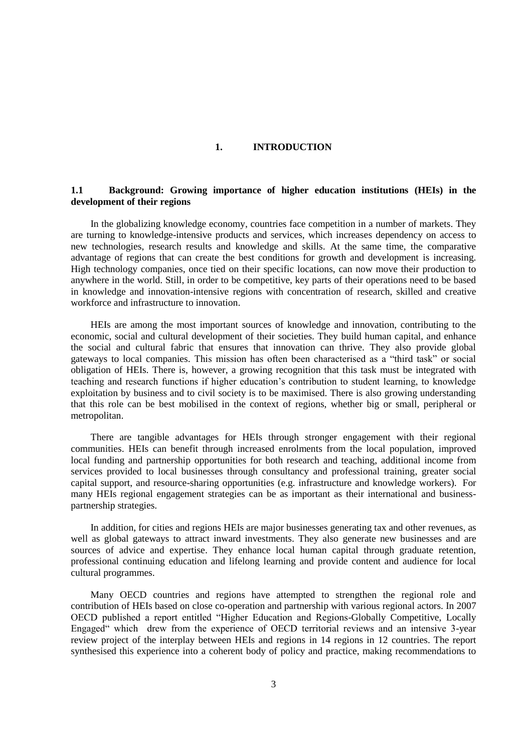#### **1. INTRODUCTION**

## **1.1 Background: Growing importance of higher education institutions (HEIs) in the development of their regions**

In the globalizing knowledge economy, countries face competition in a number of markets. They are turning to knowledge-intensive products and services, which increases dependency on access to new technologies, research results and knowledge and skills. At the same time, the comparative advantage of regions that can create the best conditions for growth and development is increasing. High technology companies, once tied on their specific locations, can now move their production to anywhere in the world. Still, in order to be competitive, key parts of their operations need to be based in knowledge and innovation-intensive regions with concentration of research, skilled and creative workforce and infrastructure to innovation.

HEIs are among the most important sources of knowledge and innovation, contributing to the economic, social and cultural development of their societies. They build human capital, and enhance the social and cultural fabric that ensures that innovation can thrive. They also provide global gateways to local companies. This mission has often been characterised as a "third task" or social obligation of HEIs. There is, however, a growing recognition that this task must be integrated with teaching and research functions if higher education's contribution to student learning, to knowledge exploitation by business and to civil society is to be maximised. There is also growing understanding that this role can be best mobilised in the context of regions, whether big or small, peripheral or metropolitan.

There are tangible advantages for HEIs through stronger engagement with their regional communities. HEIs can benefit through increased enrolments from the local population, improved local funding and partnership opportunities for both research and teaching, additional income from services provided to local businesses through consultancy and professional training, greater social capital support, and resource-sharing opportunities (e.g. infrastructure and knowledge workers). For many HEIs regional engagement strategies can be as important as their international and businesspartnership strategies.

In addition, for cities and regions HEIs are major businesses generating tax and other revenues, as well as global gateways to attract inward investments. They also generate new businesses and are sources of advice and expertise. They enhance local human capital through graduate retention, professional continuing education and lifelong learning and provide content and audience for local cultural programmes.

Many OECD countries and regions have attempted to strengthen the regional role and contribution of HEIs based on close co-operation and partnership with various regional actors. In 2007 OECD published a report entitled "Higher Education and Regions-Globally Competitive, Locally Engaged" which drew from the experience of OECD territorial reviews and an intensive 3-year review project of the interplay between HEIs and regions in 14 regions in 12 countries. The report synthesised this experience into a coherent body of policy and practice, making recommendations to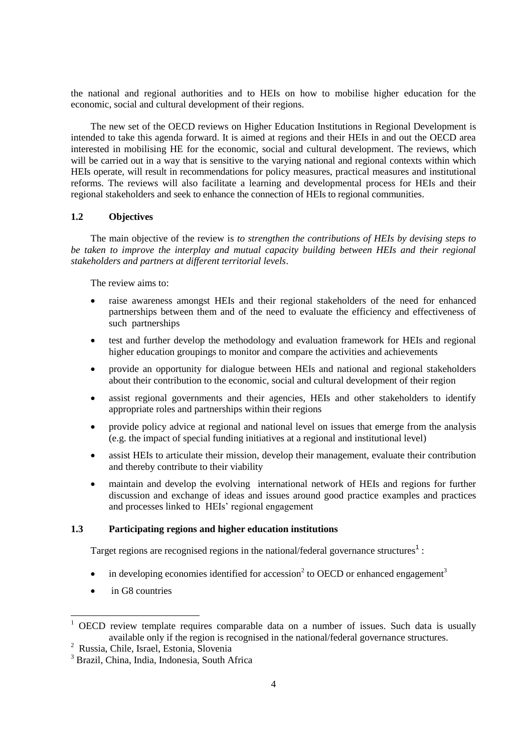the national and regional authorities and to HEIs on how to mobilise higher education for the economic, social and cultural development of their regions.

The new set of the OECD reviews on Higher Education Institutions in Regional Development is intended to take this agenda forward. It is aimed at regions and their HEIs in and out the OECD area interested in mobilising HE for the economic, social and cultural development. The reviews, which will be carried out in a way that is sensitive to the varying national and regional contexts within which HEIs operate, will result in recommendations for policy measures, practical measures and institutional reforms. The reviews will also facilitate a learning and developmental process for HEIs and their regional stakeholders and seek to enhance the connection of HEIs to regional communities.

#### **1.2 Objectives**

The main objective of the review is *to strengthen the contributions of HEIs by devising steps to be taken to improve the interplay and mutual capacity building between HEIs and their regional stakeholders and partners at different territorial levels*.

The review aims to:

- raise awareness amongst HEIs and their regional stakeholders of the need for enhanced partnerships between them and of the need to evaluate the efficiency and effectiveness of such partnerships
- test and further develop the methodology and evaluation framework for HEIs and regional higher education groupings to monitor and compare the activities and achievements
- provide an opportunity for dialogue between HEIs and national and regional stakeholders about their contribution to the economic, social and cultural development of their region
- assist regional governments and their agencies, HEIs and other stakeholders to identify appropriate roles and partnerships within their regions
- provide policy advice at regional and national level on issues that emerge from the analysis (e.g. the impact of special funding initiatives at a regional and institutional level)
- assist HEIs to articulate their mission, develop their management, evaluate their contribution and thereby contribute to their viability
- maintain and develop the evolving international network of HEIs and regions for further discussion and exchange of ideas and issues around good practice examples and practices and processes linked to HEIs' regional engagement

#### **1.3 Participating regions and higher education institutions**

Target regions are recognised regions in the national/federal governance structures<sup>1</sup>:

- $\bullet$  in developing economies identified for accession<sup>2</sup> to OECD or enhanced engagement<sup>3</sup>
- in G8 countries

 $\overline{a}$ 

 $1$  OECD review template requires comparable data on a number of issues. Such data is usually available only if the region is recognised in the national/federal governance structures.

<sup>2</sup> Russia, Chile, Israel, Estonia, Slovenia

<sup>&</sup>lt;sup>3</sup> Brazil, China, India, Indonesia, South Africa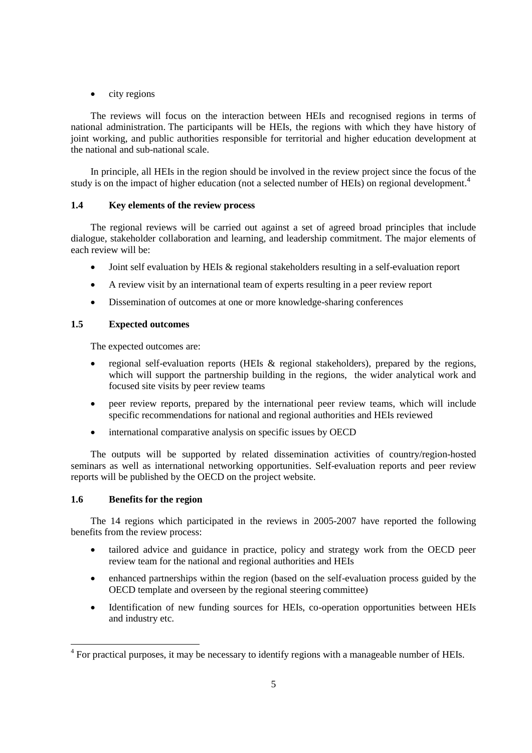$\bullet$  city regions

The reviews will focus on the interaction between HEIs and recognised regions in terms of national administration. The participants will be HEIs, the regions with which they have history of joint working, and public authorities responsible for territorial and higher education development at the national and sub-national scale.

In principle, all HEIs in the region should be involved in the review project since the focus of the study is on the impact of higher education (not a selected number of HEIs) on regional development.<sup>4</sup>

### **1.4 Key elements of the review process**

The regional reviews will be carried out against a set of agreed broad principles that include dialogue, stakeholder collaboration and learning, and leadership commitment. The major elements of each review will be:

- Joint self evaluation by HEIs & regional stakeholders resulting in a self-evaluation report
- A review visit by an international team of experts resulting in a peer review report
- Dissemination of outcomes at one or more knowledge-sharing conferences

## **1.5 Expected outcomes**

The expected outcomes are:

- regional self-evaluation reports (HEIs & regional stakeholders), prepared by the regions, which will support the partnership building in the regions, the wider analytical work and focused site visits by peer review teams
- peer review reports, prepared by the international peer review teams, which will include specific recommendations for national and regional authorities and HEIs reviewed
- international comparative analysis on specific issues by OECD

The outputs will be supported by related dissemination activities of country/region-hosted seminars as well as international networking opportunities. Self-evaluation reports and peer review reports will be published by the OECD on the project website.

### **1.6 Benefits for the region**

 $\overline{a}$ 

The 14 regions which participated in the reviews in 2005-2007 have reported the following benefits from the review process:

- tailored advice and guidance in practice, policy and strategy work from the OECD peer review team for the national and regional authorities and HEIs
- enhanced partnerships within the region (based on the self-evaluation process guided by the OECD template and overseen by the regional steering committee)
- Identification of new funding sources for HEIs, co-operation opportunities between HEIs and industry etc.

 $4$  For practical purposes, it may be necessary to identify regions with a manageable number of HEIs.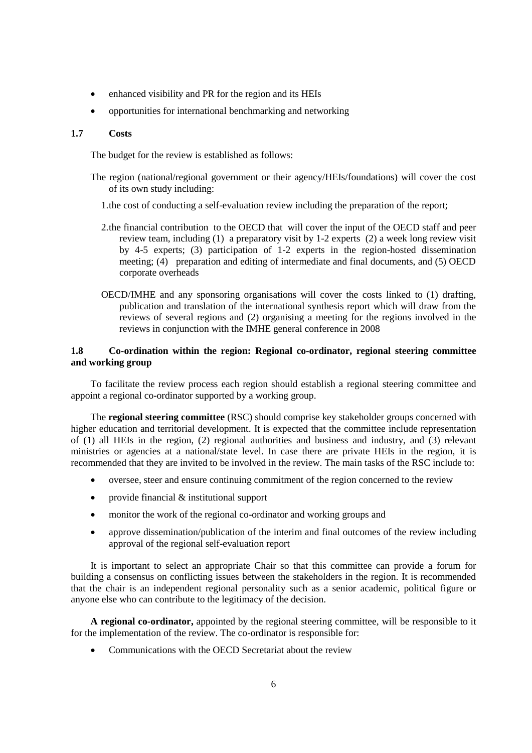- enhanced visibility and PR for the region and its HEIs
- opportunities for international benchmarking and networking

#### **1.7 Costs**

The budget for the review is established as follows:

- The region (national/regional government or their agency/HEIs/foundations) will cover the cost of its own study including:
	- 1.the cost of conducting a self-evaluation review including the preparation of the report;
	- 2.the financial contribution to the OECD that will cover the input of the OECD staff and peer review team, including (1) a preparatory visit by 1-2 experts (2) a week long review visit by 4-5 experts; (3) participation of 1-2 experts in the region-hosted dissemination meeting; (4) preparation and editing of intermediate and final documents, and (5) OECD corporate overheads
	- OECD/IMHE and any sponsoring organisations will cover the costs linked to (1) drafting, publication and translation of the international synthesis report which will draw from the reviews of several regions and (2) organising a meeting for the regions involved in the reviews in conjunction with the IMHE general conference in 2008

## **1.8 Co-ordination within the region: Regional co-ordinator, regional steering committee and working group**

To facilitate the review process each region should establish a regional steering committee and appoint a regional co-ordinator supported by a working group.

The **regional steering committee** (RSC) should comprise key stakeholder groups concerned with higher education and territorial development. It is expected that the committee include representation of (1) all HEIs in the region, (2) regional authorities and business and industry, and (3) relevant ministries or agencies at a national/state level. In case there are private HEIs in the region, it is recommended that they are invited to be involved in the review. The main tasks of the RSC include to:

- oversee, steer and ensure continuing commitment of the region concerned to the review
- provide financial & institutional support
- monitor the work of the regional co-ordinator and working groups and
- approve dissemination/publication of the interim and final outcomes of the review including approval of the regional self-evaluation report

It is important to select an appropriate Chair so that this committee can provide a forum for building a consensus on conflicting issues between the stakeholders in the region. It is recommended that the chair is an independent regional personality such as a senior academic, political figure or anyone else who can contribute to the legitimacy of the decision.

**A regional co-ordinator,** appointed by the regional steering committee, will be responsible to it for the implementation of the review. The co-ordinator is responsible for:

Communications with the OECD Secretariat about the review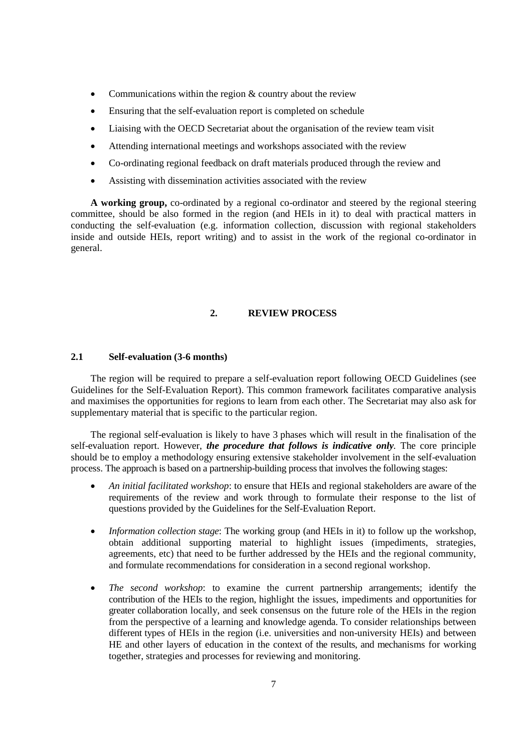- Communications within the region & country about the review
- Ensuring that the self-evaluation report is completed on schedule
- Liaising with the OECD Secretariat about the organisation of the review team visit
- Attending international meetings and workshops associated with the review
- Co-ordinating regional feedback on draft materials produced through the review and
- Assisting with dissemination activities associated with the review

**A working group,** co-ordinated by a regional co-ordinator and steered by the regional steering committee, should be also formed in the region (and HEIs in it) to deal with practical matters in conducting the self-evaluation (e.g. information collection, discussion with regional stakeholders inside and outside HEIs, report writing) and to assist in the work of the regional co-ordinator in general.

## **2. REVIEW PROCESS**

#### **2.1 Self-evaluation (3-6 months)**

The region will be required to prepare a self-evaluation report following OECD Guidelines (see Guidelines for the Self-Evaluation Report). This common framework facilitates comparative analysis and maximises the opportunities for regions to learn from each other. The Secretariat may also ask for supplementary material that is specific to the particular region.

The regional self-evaluation is likely to have 3 phases which will result in the finalisation of the self-evaluation report. However, *the procedure that follows is indicative only.* The core principle should be to employ a methodology ensuring extensive stakeholder involvement in the self-evaluation process. The approach is based on a partnership-building process that involves the following stages:

- *An initial facilitated workshop*: to ensure that HEIs and regional stakeholders are aware of the requirements of the review and work through to formulate their response to the list of questions provided by the Guidelines for the Self-Evaluation Report.
- *Information collection stage*: The working group (and HEIs in it) to follow up the workshop, obtain additional supporting material to highlight issues (impediments, strategies, agreements, etc) that need to be further addressed by the HEIs and the regional community, and formulate recommendations for consideration in a second regional workshop.
- *The second workshop*: to examine the current partnership arrangements; identify the contribution of the HEIs to the region, highlight the issues, impediments and opportunities for greater collaboration locally, and seek consensus on the future role of the HEIs in the region from the perspective of a learning and knowledge agenda. To consider relationships between different types of HEIs in the region (i.e. universities and non-university HEIs) and between HE and other layers of education in the context of the results, and mechanisms for working together, strategies and processes for reviewing and monitoring.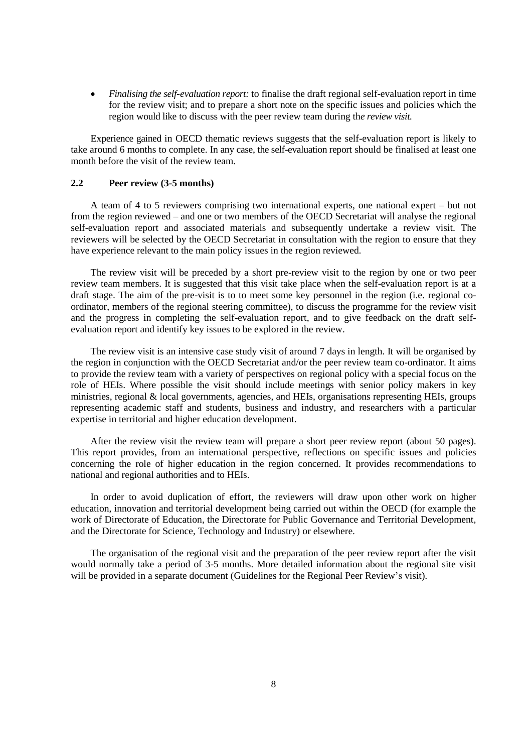*Finalising the self-evaluation report:* to finalise the draft regional self-evaluation report in time for the review visit; and to prepare a short note on the specific issues and policies which the region would like to discuss with the peer review team during th*e review visit.*

Experience gained in OECD thematic reviews suggests that the self-evaluation report is likely to take around 6 months to complete. In any case, the self-evaluation report should be finalised at least one month before the visit of the review team.

#### **2.2 Peer review (3-5 months)**

A team of 4 to 5 reviewers comprising two international experts, one national expert – but not from the region reviewed – and one or two members of the OECD Secretariat will analyse the regional self-evaluation report and associated materials and subsequently undertake a review visit. The reviewers will be selected by the OECD Secretariat in consultation with the region to ensure that they have experience relevant to the main policy issues in the region reviewed.

The review visit will be preceded by a short pre-review visit to the region by one or two peer review team members. It is suggested that this visit take place when the self-evaluation report is at a draft stage. The aim of the pre-visit is to to meet some key personnel in the region (i.e. regional coordinator, members of the regional steering committee), to discuss the programme for the review visit and the progress in completing the self-evaluation report, and to give feedback on the draft selfevaluation report and identify key issues to be explored in the review.

The review visit is an intensive case study visit of around 7 days in length. It will be organised by the region in conjunction with the OECD Secretariat and/or the peer review team co-ordinator. It aims to provide the review team with a variety of perspectives on regional policy with a special focus on the role of HEIs. Where possible the visit should include meetings with senior policy makers in key ministries, regional & local governments, agencies, and HEIs, organisations representing HEIs, groups representing academic staff and students, business and industry, and researchers with a particular expertise in territorial and higher education development.

After the review visit the review team will prepare a short peer review report (about 50 pages). This report provides, from an international perspective, reflections on specific issues and policies concerning the role of higher education in the region concerned. It provides recommendations to national and regional authorities and to HEIs.

In order to avoid duplication of effort, the reviewers will draw upon other work on higher education, innovation and territorial development being carried out within the OECD (for example the work of Directorate of Education, the Directorate for Public Governance and Territorial Development, and the Directorate for Science, Technology and Industry) or elsewhere.

The organisation of the regional visit and the preparation of the peer review report after the visit would normally take a period of 3-5 months. More detailed information about the regional site visit will be provided in a separate document (Guidelines for the Regional Peer Review's visit).